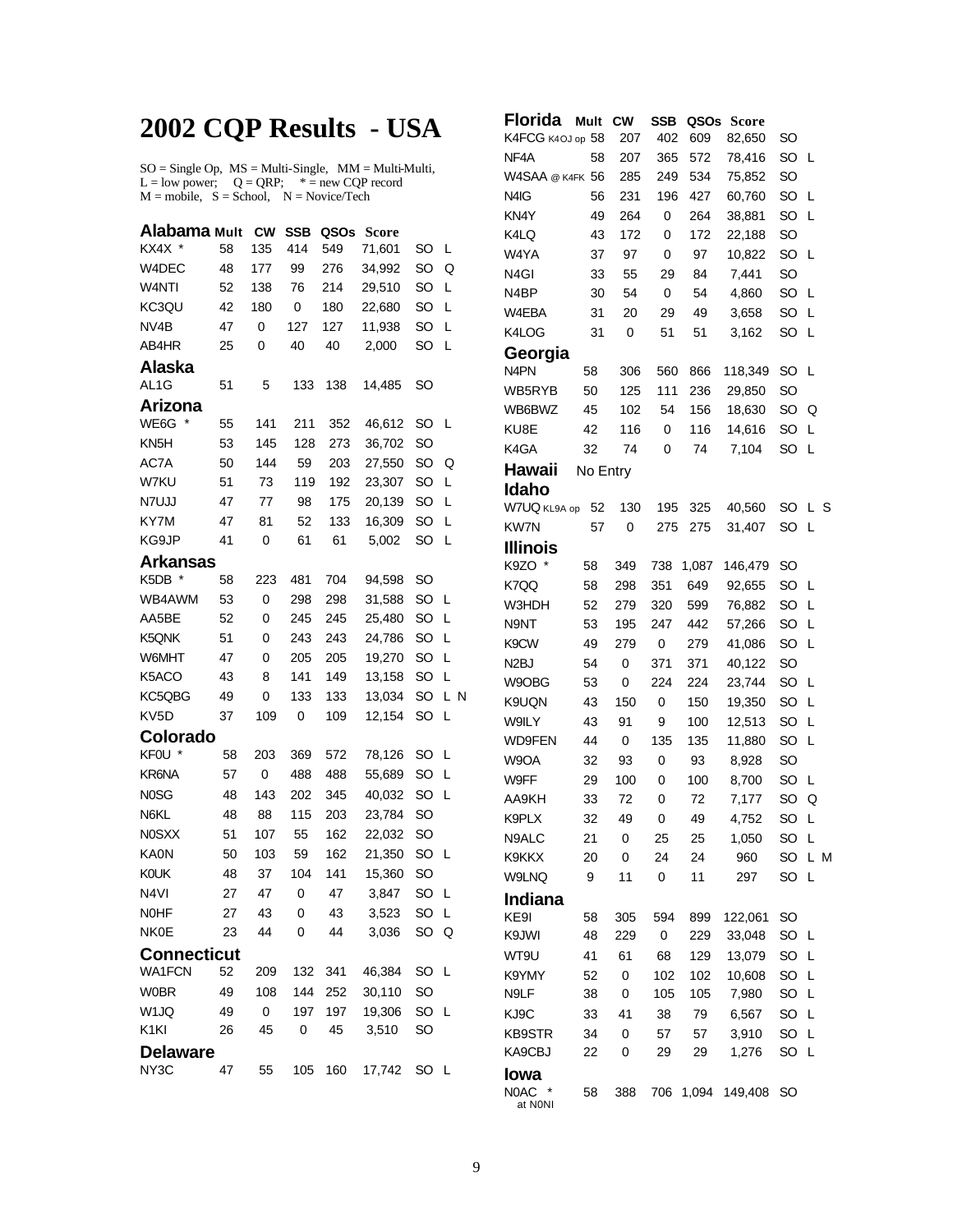## **2002 CQP Results - USA**

 $SO = Single Op$ ,  $MS = Multi-Single$ ,  $MM = Multi-Multi$ ,  $L = low power$ ;  $Q = QRP$ ;  $* = new CQP$  record  $M = \text{mobile}, S = \text{School}, N = \text{Novice/Techn}$ 

| Alabama Mult       |    | <b>CW</b>   | <b>SSB</b> | QSOs | Score  |           |     |
|--------------------|----|-------------|------------|------|--------|-----------|-----|
| KX4X               | 58 | 135         | 414        | 549  | 71,601 | SO        | L   |
| W4DEC              | 48 | 177         | 99         | 276  | 34,992 | SO        | Q   |
| W4NTI              | 52 | 138         | 76         | 214  | 29,510 | SO        | L   |
| KC3QU              | 42 | 180         | 0          | 180  | 22,680 | SO        | L   |
| NV4B               | 47 | 0           | 127        | 127  | 11,938 | SO        | L   |
| AB4HR              | 25 | 0           | 40         | 40   | 2,000  | SO        | L   |
| Alaska             |    |             |            |      |        |           |     |
| AL <sub>1</sub> G  | 51 | 5           | 133        | 138  | 14,485 | SO        |     |
| Arizona            |    |             |            |      |        |           |     |
| *<br>WE6G          | 55 | 141         | 211        | 352  | 46,612 | SO        | L   |
| KN <sub>5</sub> H  | 53 | 145         | 128        | 273  | 36,702 | SO        |     |
| AC7A               | 50 | 144         | 59         | 203  | 27,550 | SO        | Q   |
| W7KU               | 51 | 73          | 119        | 192  | 23,307 | SO        | L   |
| N7UJJ              | 47 | 77          | 98         | 175  | 20,139 | <b>SO</b> | L   |
| KY7M               | 47 | 81          | 52         | 133  | 16,309 | SO        | L   |
| KG9JP              | 41 | 0           | 61         | 61   | 5,002  | SO        | L   |
| Arkansas           |    |             |            |      |        |           |     |
| K5DB *             | 58 | 223         | 481        | 704  | 94,598 | SO        |     |
| WB4AWM             | 53 | 0           | 298        | 298  | 31,588 | SO        | L   |
| AA5BE              | 52 | 0           | 245        | 245  | 25,480 | SO        | L   |
| K5QNK              | 51 | 0           | 243        | 243  | 24,786 | SO        | L   |
| W6MHT              | 47 | 0           | 205        | 205  | 19,270 | SO        | L   |
| K5ACO              | 43 | 8           | 141        | 149  | 13,158 | SO        | L   |
| KC5QBG             | 49 | 0           | 133        | 133  | 13,034 | SO        | L N |
| KV <sub>5</sub> D  | 37 | 109         | 0          | 109  | 12,154 | SO        | L   |
| Colorado           |    |             |            |      |        |           |     |
| KFOU<br>$\ast$     | 58 | 203         | 369        | 572  | 78,126 | <b>SO</b> | L   |
| KR6NA              | 57 | 0           | 488        | 488  | 55,689 | SO        | L   |
| <b>NOSG</b>        | 48 | 143         | 202        | 345  | 40,032 | SO        | L   |
| N6KL               | 48 | 88          | 115        | 203  | 23,784 | SO        |     |
| <b>N0SXX</b>       | 51 | 107         | 55         | 162  | 22,032 | SO        |     |
| <b>KA0N</b>        | 50 | 103         | 59         | 162  | 21,350 | SO        | L   |
| <b>KOUK</b>        | 48 | 37          | 104        | 141  | 15,360 | SO        |     |
| N <sub>4VI</sub>   | 27 | 47          | 0          | 47   | 3,847  | SO        | L   |
| <b>NOHF</b>        | 27 | 43          | 0          | 43   | 3,523  | SO        | L   |
| <b>NK0E</b>        | 23 | 44          | 0          | 44   | 3,036  | SO        | Q   |
| <b>Connecticut</b> |    |             |            |      |        |           |     |
| <b>WA1FCN</b>      | 52 | 209         | 132        | 341  | 46,384 | <b>SO</b> | L   |
| <b>W0BR</b>        | 49 | 108         | 144        | 252  | 30,110 | SO        |     |
| W1JQ               | 49 | $\mathbf 0$ | 197        | 197  | 19,306 | SO        | L   |
| K <sub>1</sub> KI  | 26 | 45          | 0          | 45   | 3,510  | SO        |     |
| <b>Delaware</b>    |    |             |            |      |        |           |     |
| NY3C               | 47 | 55          | 105        | 160  | 17,742 | SO        | - L |
|                    |    |             |            |      |        |           |     |

| <b>Florida</b>                | Mult     | <b>CW</b> | <b>SSB</b> | QSOs  | Score   |           |     |   |
|-------------------------------|----------|-----------|------------|-------|---------|-----------|-----|---|
| K4FCG K4OJ op 58              |          | 207       | 402        | 609   | 82,650  | SO        |     |   |
| NF <sub>4</sub> A             | 58       | 207       | 365        | 572   | 78,416  | SO        | L   |   |
| W4SAA @ K4FK 56               |          | 285       | 249        | 534   | 75,852  | SO        |     |   |
| N <sub>4</sub> I <sub>G</sub> | 56       | 231       | 196        | 427   | 60,760  | SO        | L   |   |
| KN <sub>4</sub> Y             | 49       | 264       | 0          | 264   | 38,881  | SO        | L   |   |
| K4LQ                          | 43       | 172       | 0          | 172   | 22,188  | SO        |     |   |
| W4YA                          | 37       | 97        | 0          | 97    | 10,822  | SO        | L   |   |
| N <sub>4GI</sub>              | 33       | 55        | 29         | 84    | 7,441   | SO        |     |   |
| N <sub>4</sub> BP             | 30       | 54        | 0          | 54    | 4,860   | SO        | L   |   |
| W4EBA                         | 31       | 20        | 29         | 49    | 3,658   | SO        | L   |   |
| K4LOG                         | 31       | 0         | 51         | 51    | 3,162   | SO        | L   |   |
| Georgia                       |          |           |            |       |         |           |     |   |
| N <sub>4</sub> PN             | 58       | 306       | 560        | 866   | 118,349 | SO        | L   |   |
| WB5RYB                        | 50       | 125       | 111        | 236   | 29,850  | SO        |     |   |
| WB6BWZ                        | 45       | 102       | 54         | 156   | 18,630  | SO        | Q   |   |
| KU8E                          | 42       | 116       | 0          | 116   | 14,616  | SO        | L   |   |
| K4GA                          | 32       | 74        | 0          | 74    | 7,104   | SO        | L   |   |
| Hawaii                        | No Entry |           |            |       |         |           |     |   |
| Idaho                         |          |           |            |       |         |           |     |   |
| W7UQ KL9A op                  | 52       | 130       | 195        | 325   | 40,560  | SO        | L   | S |
| <b>KW7N</b>                   | 57       | 0         | 275        | 275   | 31,407  | SO        | L   |   |
| <b>Illinois</b>               |          |           |            |       |         |           |     |   |
| K9ZO *                        | 58       | 349       | 738        | 1,087 | 146,479 | SO        |     |   |
| K7QQ                          | 58       | 298       | 351        | 649   | 92,655  | SO        | L   |   |
| W3HDH                         | 52       | 279       | 320        | 599   | 76,882  | SO        | L   |   |
| N9NT                          | 53       | 195       | 247        | 442   | 57,266  | SO        | L   |   |
| K9CW                          | 49       | 279       | 0          | 279   | 41,086  | SO        | L   |   |
| N2BJ                          | 54       | 0         | 371        | 371   | 40,122  | SO        |     |   |
| W9OBG                         | 53       | 0         | 224        | 224   | 23,744  | SO        | L   |   |
| K9UQN                         | 43       | 150       | 0          | 150   | 19,350  | SO        | L   |   |
| <b>W9ILY</b>                  | 43       | 91        | 9          | 100   | 12,513  | SO        | L   |   |
| <b>WD9FEN</b>                 | 44       | 0         | 135        | 135   | 11,880  | SO        | L   |   |
| W9OA                          | 32       | 93        | 0          | 93    | 8,928   | SO        |     |   |
| W9FF                          | 29       | 100       | 0          | 100   | 8,700   | SO        | L   |   |
| AA9KH                         | 33       | 72        | 0          | 72    | 7,177   | SO        | Q   |   |
| K9PLX                         | 32       | 49        | 0          | 49    | 4,752   | SO        | L   |   |
| N9ALC                         | 21       | 0         | 25         | 25    | 1,050   | SO        | Г   |   |
| K9KKX                         | 20       | 0         | 24         | 24    | 960     | SO        | L M |   |
| W9LNQ                         | 9        | 11        | 0          | 11    | 297     | SO        | L   |   |
| <b>Indiana</b>                |          |           |            |       |         |           |     |   |
| KE9I                          | 58       | 305       | 594        | 899   | 122,061 | SO        |     |   |
| K9JWI                         | 48       | 229       | 0          | 229   | 33,048  | SO        | L   |   |
| WT9U                          | 41       | 61        | 68         | 129   | 13,079  | SO        | L   |   |
| K9YMY                         | 52       | 0         | 102        | 102   | 10,608  | SO        | Г   |   |
| N9LF                          | 38       | 0         | 105        | 105   | 7,980   | SO        | Г   |   |
| KJ9C                          | 33       | 41        | 38         | 79    | 6,567   | SO        | Г   |   |
| <b>KB9STR</b>                 | 34       | 0         | 57         | 57    | 3,910   | SO        | Г   |   |
| KA9CBJ                        | 22       | 0         | 29         | 29    | 1,276   | SO        | L   |   |
| Iowa                          |          |           |            |       |         |           |     |   |
| N0AC<br>at N0NI               | 58       | 388       | 706        | 1,094 | 149,408 | <b>SO</b> |     |   |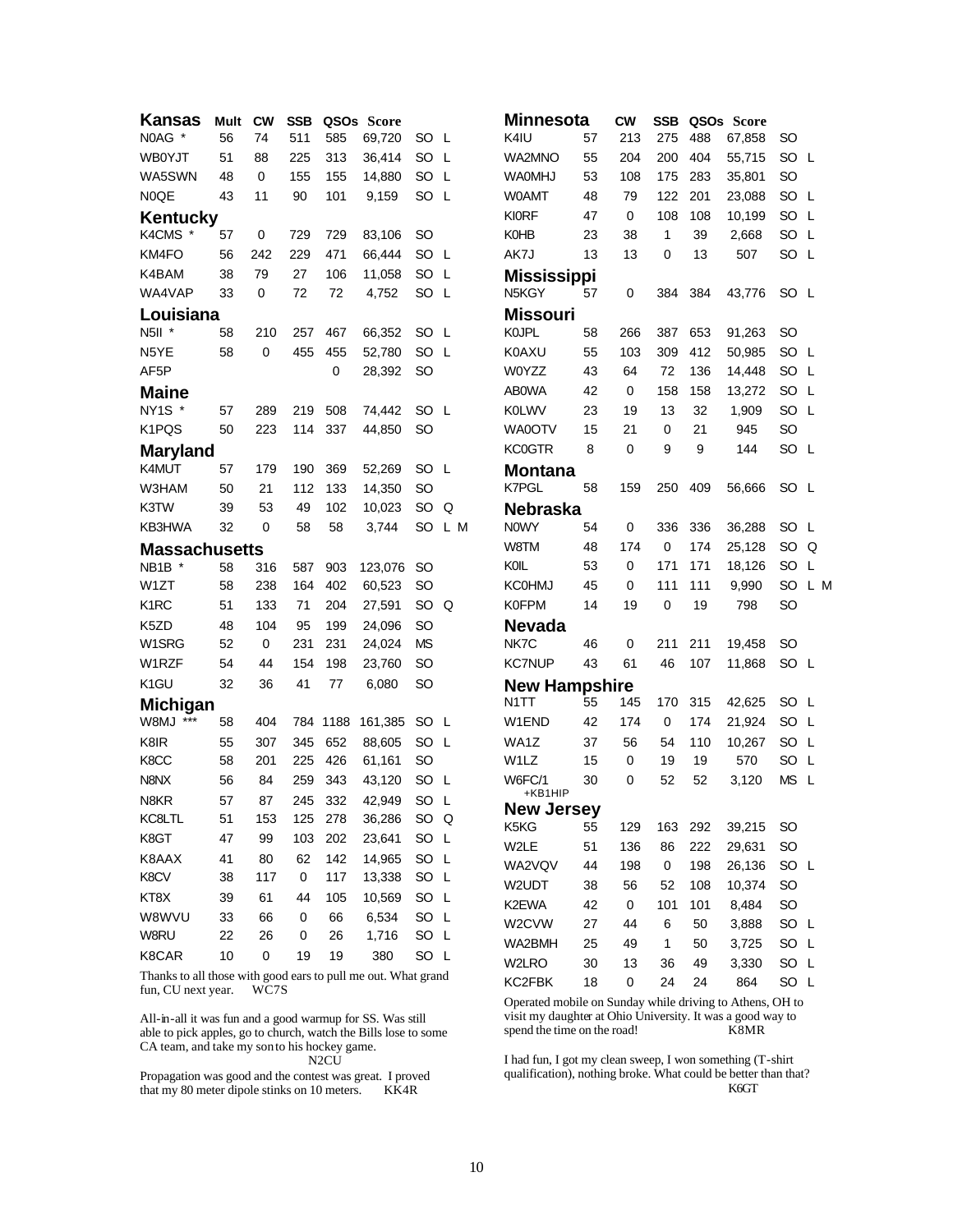| Kansas                        | Mult | <b>CW</b>   | <b>SSB</b> |         | QSOs Score   |               |    |     | <b>Minnesota</b>             |    | <b>CW</b>   | <b>SSB</b>   |        | QSOs Score |           |
|-------------------------------|------|-------------|------------|---------|--------------|---------------|----|-----|------------------------------|----|-------------|--------------|--------|------------|-----------|
| N0AG *                        | 56   | 74          | 511        | 585     | 69.720       | SO L          |    |     | K4IU                         | 57 | 213         | 275          | 488    | 67,858     | <b>SO</b> |
| <b>WB0YJT</b>                 | 51   | 88          | 225        | 313     | 36.414       | SO L          |    |     | <b>WA2MNO</b>                | 55 | 204         | 200          | 404    | 55,715     | SO        |
| WA5SWN                        | 48   | 0           | 155        | 155     | 14,880       | SO L          |    |     | <b>WAOMHJ</b>                | 53 | 108         | 175          | 283    | 35,801     | SO        |
| N0QE                          | 43   | 11          | 90         | 101     | 9,159        | SO L          |    |     | <b>WOAMT</b>                 | 48 | 79          | 122          | 201    | 23,088     | SO        |
| <b>Kentucky</b>               |      |             |            |         |              |               |    |     | <b>KI0RF</b>                 | 47 | $\mathbf 0$ | 108          | 108    | 10,199     | SO        |
| K4CMS *                       | 57   | $\mathbf 0$ | 729        | 729     | 83,106       | <b>SO</b>     |    |     | <b>K0HB</b>                  | 23 | 38          | $\mathbf{1}$ | 39     | 2,668      | SO        |
| KM4FO                         | 56   | 242         | 229        | 471     | 66,444       | SO L          |    |     | AK7J                         | 13 | 13          | 0            | 13     | 507        | SO        |
| K4BAM                         | 38   | 79          | 27         | 106     | 11,058       | SO            | -L |     | <b>Mississippi</b>           |    |             |              |        |            |           |
| WA4VAP                        | 33   | 0           | 72         | 72      | 4,752        | SO L          |    |     | N5KGY                        | 57 | 0           | 384          | 384    | 43,776     | <b>SO</b> |
| Louisiana                     |      |             |            |         |              |               |    |     | <b>Missouri</b>              |    |             |              |        |            |           |
| N5II *                        | 58   | 210         | 257        | 467     | 66,352       | SO L          |    |     | <b>KOJPL</b>                 | 58 | 266         | 387          | 653    | 91,263     | <b>SO</b> |
| N5YE                          | 58   | $\mathbf 0$ | 455        | 455     | 52,780       | SO L          |    |     | <b>K0AXU</b>                 | 55 | 103         | 309          | 412    | 50,985     | SO        |
| AF5P                          |      |             |            | 0       | 28,392       | <b>SO</b>     |    |     | W0YZZ                        | 43 | 64          | 72           | 136    | 14,448     | SO        |
| <b>Maine</b>                  |      |             |            |         |              |               |    |     | <b>ABOWA</b>                 | 42 | 0           | 158          | 158    | 13,272     | SO        |
| NY1S *                        | 57   | 289         | 219        | 508     | 74.442       | <b>SO</b>     | -L |     | <b>K0LWV</b>                 | 23 | 19          | 13           | 32     | 1,909      | SO        |
| K1PQS                         | 50   | 223         | 114        | 337     | 44.850       | <b>SO</b>     |    |     | WA0OTV                       | 15 | 21          | $\mathbf 0$  | 21     | 945        | SO        |
| <b>Maryland</b>               |      |             |            |         |              |               |    |     | <b>KC0GTR</b>                | 8  | $\mathbf 0$ | 9            | 9      | 144        | SO        |
| K4MUT                         | 57   | 179         | 190        | 369     | 52,269       | <b>SO</b>     | L  |     | <b>Montana</b>               |    |             |              |        |            |           |
| W3HAM                         | 50   | 21          | 112        | 133     | 14,350       | <b>SO</b>     |    |     | K7PGL                        | 58 | 159         | 250          | 409    | 56.666     | <b>SO</b> |
| K3TW                          | 39   | 53          | 49         | 102     | 10,023       | SO.           | Q  |     | <b>Nebraska</b>              |    |             |              |        |            |           |
| KB3HWA                        | 32   | 0           | 58         | 58      | 3.744        | SO            |    | L M | <b>NOWY</b>                  | 54 | 0           | 336          | 336    | 36,288     | <b>SO</b> |
| <b>Massachusetts</b>          |      |             |            |         |              |               |    |     | W8TM                         | 48 | 174         | 0            | 174    | 25,128     | SO        |
| NB <sub>1</sub> B *           | 58   | 316         | 587        | 903     | 123,076      | <sub>SO</sub> |    |     | KOIL                         | 53 | 0           | 171          | 171    | 18,126     | SO        |
| W1ZT                          | 58   | 238         | 164        | 402     | 60,523       | <b>SO</b>     |    |     | <b>KC0HMJ</b>                | 45 | 0           | 111          | 111    | 9,990      | SO        |
| K <sub>1</sub> RC             | 51   | 133         | 71         | 204     | 27,591       | SO            | Q  |     | <b>K0FPM</b>                 | 14 | 19          | $\mathbf 0$  | 19     | 798        | SO        |
| K5ZD                          | 48   | 104         | 95         | 199     | 24,096       | <b>SO</b>     |    |     | <b>Nevada</b>                |    |             |              |        |            |           |
| W1SRG                         | 52   | 0           | 231        | 231     | 24,024       | <b>MS</b>     |    |     | NK7C                         | 46 | 0           | 211          | 211    | 19,458     | <b>SO</b> |
| W <sub>1</sub> RZF            | 54   | 44          | 154        | 198     | 23,760       | <b>SO</b>     |    |     | <b>KC7NUP</b>                | 43 | 61          | 46           | 107    | 11,868     | <b>SO</b> |
| K <sub>1</sub> GU             | 32   | 36          | 41         | 77      | 6,080        | <b>SO</b>     |    |     | <b>New Hampshire</b>         |    |             |              |        |            |           |
| <b>Michigan</b>               |      |             |            |         |              |               |    |     | N <sub>1</sub> TT            | 55 | 145         | 170          | 315    | 42,625     | <b>SO</b> |
| $***$<br><b>UM8W</b>          | 58   | 404         | 784        | 1188    | 161,385      | SO            | L  |     | W1END                        | 42 | 174         | 0            | 174    | 21,924     | SO        |
| K8IR                          | 55   | 307         | 345        | 652     | 88,605       | SO L          |    |     | WA1Z                         | 37 | 56          | 54           | 110    | 10,267     | SO        |
| K8CC                          | 58   | 201         | 225        | 426     | 61,161       | <b>SO</b>     |    |     | W1LZ                         | 15 | $\mathbf 0$ | 19           | 19     | 570        | SO        |
| N8NX                          | 56   | 84          | 259        | 343     | 43,120       | SO L          |    |     | W6FC/1                       | 30 | 0           | 52           | 52     | 3,120      | <b>MS</b> |
| N <sub>8</sub> K <sub>R</sub> | 57   | 87          | 245        | 332     | 42,949       | SO            | L  |     | +KB1HIP<br><b>New Jersey</b> |    |             |              |        |            |           |
| KC8LTL                        | 51   | 153         |            | 125 278 | 36,286       | SO Q          |    |     | K5KG                         | 55 | 129         | 163          | 292    | 39,215     | SO        |
| K8GT                          | 47   | 99          | 103        | 202     | 23,641       | SO L          |    |     | W2LE                         | 51 | 136         | 86           | 222    | 29,631     | SO        |
| K8AAX                         | 41   | 80          | 62         | 142     | 14,965       | SO L          |    |     | WA2VQV                       | 44 | 198         | $\pmb{0}$    | 198    | 26,136     | SO        |
| K8CV                          | 38   | 117         | $\pmb{0}$  | 117     | 13,338       | SO L          |    |     | W2UDT                        | 38 | 56          | 52           | 108    | 10,374     | SO        |
| KT8X                          | 39   | 61          | 44         | 105     | 10,569       | SO L          |    |     | K2EWA                        | 42 | $\pmb{0}$   | 101          | 101    | 8,484      | SO        |
| W8WVU                         | 33   | 66          | 0          | 66      | 6,534        | SO L          |    |     | W2CVW                        | 27 | 44          | 6            | $50\,$ | 3,888      | SO        |
| W8RU                          | 22   | 26          | 0          | 26      | 1,716        | SO L          |    |     | WA2BMH                       | 25 | 49          | $\mathbf{1}$ | 50     | 3,725      | SO        |
| K8CAR                         | 10   | 0           | 19         | 19      | 380          | SO L          |    |     | W2LRO                        | 30 | 13          | 36           | 49     | 3,330      | <b>SO</b> |
|                               |      |             |            |         | <b>XX71.</b> |               |    |     |                              |    |             |              |        |            |           |

Thanks to all those with good ears to pull me out. What grand fun, CU next year. WC7S

All-in-all it was fun and a good warmup for SS. Was still able to pick apples, go to church, watch the Bills lose to some CA team, and take my son to his hockey game.

N2CU

Propagation was good and the contest was great. I proved that my 80 meter dipole stinks on 10 meters. KK4R

| WA2MNO               | 55 | 204 | 200 | 404    | 55,715 | SO | L   |
|----------------------|----|-----|-----|--------|--------|----|-----|
| WAOMHJ               | 53 | 108 | 175 | 283    | 35,801 | SO |     |
| <b>W0AMT</b>         | 48 | 79  | 122 | 201    | 23,088 | SO | L   |
| <b>KI0RF</b>         | 47 | 0   | 108 | 108    | 10,199 | SO | L   |
| <b>KOHB</b>          | 23 | 38  | 1   | 39     | 2,668  | SO | L   |
| AK7J                 | 13 | 13  | 0   | 13     | 507    | SO | L   |
| <b>Mississippi</b>   |    |     |     |        |        |    |     |
| N5KGY                | 57 | 0   | 384 | 384    | 43,776 | SO | -L  |
| <b>Missouri</b>      |    |     |     |        |        |    |     |
| <b>KOJPL</b>         | 58 | 266 | 387 | 653    | 91,263 | SO |     |
| K0AXU                | 55 | 103 | 309 | 412    | 50,985 | SO | L   |
| W0YZZ                | 43 | 64  | 72  | 136    | 14,448 | SO | L   |
| <b>ABOWA</b>         | 42 | 0   | 158 | 158    | 13,272 | SO | L   |
| <b>K0LWV</b>         | 23 | 19  | 13  | 32     | 1,909  | SO | L   |
| WA0OTV               | 15 | 21  | 0   | 21     | 945    | SO |     |
| <b>KC0GTR</b>        | 8  | 0   | 9   | 9      | 144    | SO | L   |
| Montana              |    |     |     |        |        |    |     |
| K7PGL                | 58 | 159 | 250 | 409    | 56,666 | SO | L   |
| <b>Nebraska</b>      |    |     |     |        |        |    |     |
| <b>NOWY</b>          | 54 | 0   | 336 | 336    | 36,288 | SO | L   |
| W8TM                 | 48 | 174 | 0   | 174    | 25,128 | SO | Q   |
| KOIL                 | 53 | 0   | 171 | 171    | 18,126 | SO | L   |
| <b>KC0HMJ</b>        | 45 | 0   | 111 | 111    | 9,990  | SO | L M |
| <b>K0FPM</b>         | 14 | 19  | 0   | 19     | 798    | SO |     |
| <b>Nevada</b>        |    |     |     |        |        |    |     |
| NK7C                 | 46 | 0   | 211 | 211    | 19,458 | SO |     |
| <b>KC7NUP</b>        | 43 | 61  | 46  | 107    | 11,868 | SO | L   |
| <b>New Hampshire</b> |    |     |     |        |        |    |     |
| N <sub>1</sub> TT    | 55 | 145 | 170 | 315    | 42,625 | SO | L   |
| W1END                | 42 | 174 | 0   | 174    | 21,924 | SO | L   |
| WA1Z                 | 37 | 56  | 54  | 110    | 10,267 | SO | L   |
| W1LZ                 | 15 | 0   | 19  | 19     | 570    | SO | L   |
| W6FC/1<br>+KB1HIP    | 30 | 0   | 52  | 52     | 3,120  | ΜS | L   |
| <b>New Jersey</b>    |    |     |     |        |        |    |     |
| K5KG                 | 55 | 129 | 163 | 292    | 39,215 | SO |     |
| W2LE                 | 51 | 136 |     | 86 222 | 29,631 | SO |     |
| WA2VQV               | 44 | 198 | 0   | 198    | 26,136 | SO | L   |
| W2UDT                | 38 | 56  | 52  | 108    | 10,374 | SO |     |
| K2EWA                | 42 | 0   | 101 | 101    | 8,484  | SO |     |
| W2CVW                | 27 | 44  | 6   | 50     | 3,888  | SO | L   |
| WA2BMH               | 25 | 49  | 1   | 50     | 3,725  | SO | L   |
| W2LRO                | 30 | 13  | 36  | 49     | 3,330  | SO | L   |
| KC2FBK               | 18 | 0   | 24  | 24     | 864    | SO | L   |

Operated mobile on Sunday while driving to Athens, OH to visit my daughter at Ohio University. It was a good way to spend the time on the road! K8MR

I had fun, I got my clean sweep, I won something (T-shirt qualification), nothing broke. What could be better than that? K6GT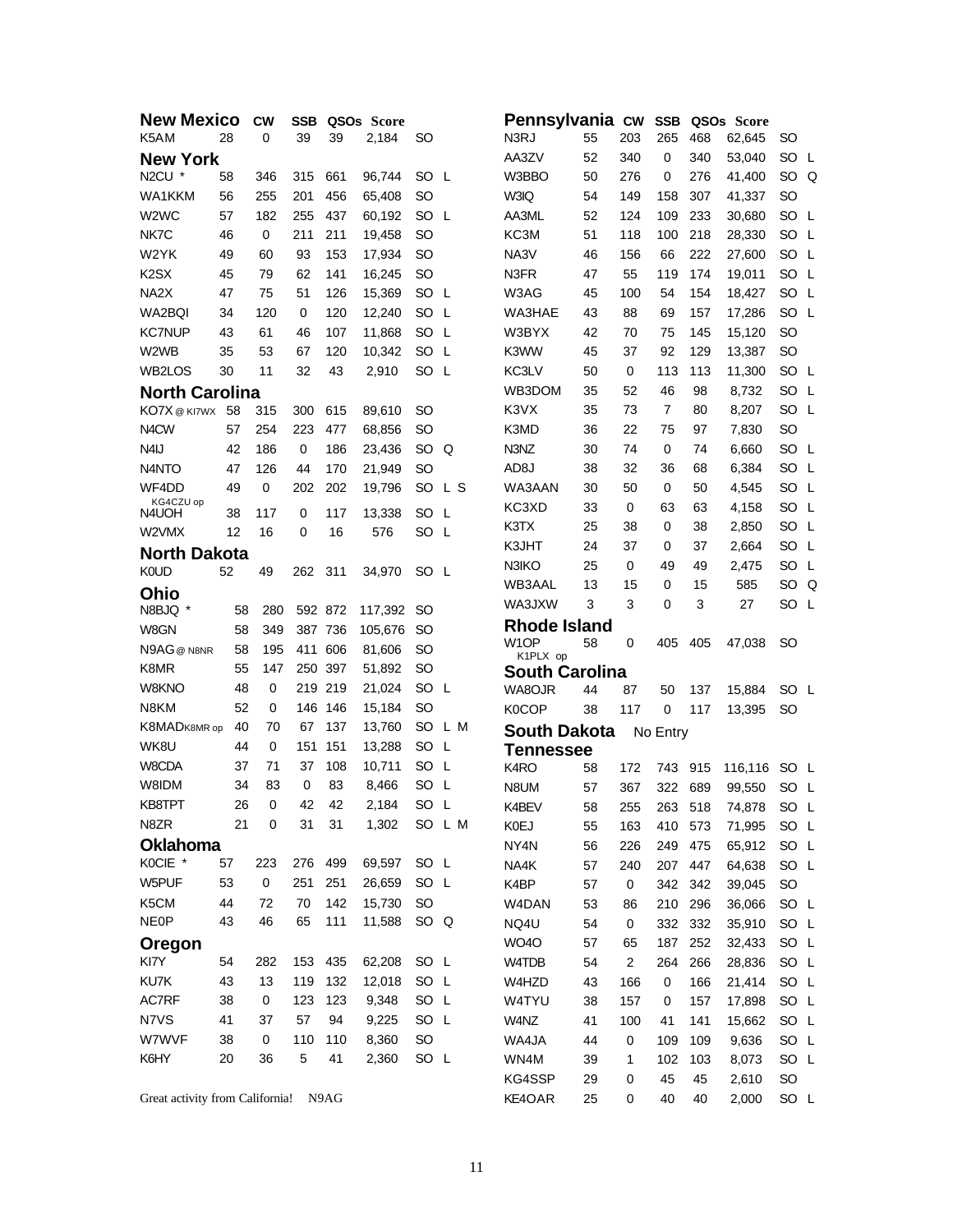| <b>New Mexico</b>               |          | <b>CW</b>   | <b>SSB</b>                 |           | QSO <sub>s</sub> Score |              |        | Pennsylvania cw       |    |                | <b>SSB</b>     |     | QSO <sub>s</sub> Score |                 |  |
|---------------------------------|----------|-------------|----------------------------|-----------|------------------------|--------------|--------|-----------------------|----|----------------|----------------|-----|------------------------|-----------------|--|
| K5AM                            | 28       | 0           | 39                         | 39        | 2,184                  | SO           |        | N3RJ                  | 55 | 203            | 265            | 468 | 62,645                 | SO              |  |
| <b>New York</b>                 |          |             |                            |           |                        |              |        | AA3ZV                 | 52 | 340            | 0              | 340 | 53,040                 | SO L            |  |
| N2CU *                          | 58       | 346         | 315                        | 661       | 96,744                 | SO L         |        | W3BBO                 | 50 | 276            | 0              | 276 | 41,400                 | SO Q            |  |
| WA1KKM                          | 56       | 255         | 201                        | 456       | 65,408                 | <b>SO</b>    |        | W3IQ                  | 54 | 149            | 158            | 307 | 41,337                 | <b>SO</b>       |  |
| W <sub>2</sub> W <sub>C</sub>   | 57       | 182         | 255                        | 437       | 60,192                 | SO L         |        | AA3ML                 | 52 | 124            | 109            | 233 | 30,680                 | SO L            |  |
| NK7C                            | 46       | 0           | 211                        | 211       | 19,458                 | SO           |        | KC3M                  | 51 | 118            | 100            | 218 | 28,330                 | SO L            |  |
| W <sub>2</sub> YK               | 49       | 60          | 93                         | 153       | 17,934                 | <b>SO</b>    |        | NA3V                  | 46 | 156            | 66             | 222 | 27,600                 | SO L            |  |
| K <sub>2</sub> S <sub>X</sub>   | 45       | 79          | 62                         | 141       | 16,245                 | <b>SO</b>    |        | N <sub>3</sub> FR     | 47 | 55             | 119            | 174 | 19,011                 | SO L            |  |
| NA <sub>2</sub> X               | 47       | 75          | 51                         | 126       | 15,369                 | SO L         |        | W3AG                  | 45 | 100            | 54             | 154 | 18,427                 | SO L            |  |
| WA2BQI                          | 34       | 120         | 0                          | 120       | 12,240                 | SO L         |        | WA3HAE                | 43 | 88             | 69             | 157 | 17,286                 | SO L            |  |
| <b>KC7NUP</b>                   | 43       | 61          | 46                         | 107       | 11,868                 | SO L         |        | W3BYX                 | 42 | 70             | 75             | 145 | 15,120                 | <b>SO</b>       |  |
| W <sub>2</sub> W <sub>B</sub>   | 35       | 53          | 67                         | 120       | 10,342                 | SO L         |        | K3WW                  | 45 | 37             | 92             | 129 | 13,387                 | <b>SO</b>       |  |
| WB2LOS                          | 30       | 11          | 32                         | 43        | 2,910                  | SO L         |        | KC3LV                 | 50 | 0              | 113            | 113 | 11,300                 | SO L            |  |
| <b>North Carolina</b>           |          |             |                            |           |                        |              |        | WB3DOM                | 35 | 52             | 46             | 98  | 8,732                  | SO L            |  |
| KO7X @ KI7WX 58                 |          | 315         | 300                        | 615       | 89,610                 | SO           |        | K3VX                  | 35 | 73             | $\overline{7}$ | 80  | 8,207                  | SO L            |  |
| N <sub>4</sub> CW               | 57       | 254         | 223                        | 477       | 68,856                 | <b>SO</b>    |        | K3MD                  | 36 | 22             | 75             | 97  | 7,830                  | <b>SO</b>       |  |
| N <sub>4</sub> IJ               | 42       | 186         | 0                          | 186       | 23,436                 | SO Q         |        | N3NZ                  | 30 | 74             | 0              | 74  | 6,660                  | SO L            |  |
| N <sub>4</sub> N <sub>TO</sub>  | 47       | 126         | 44                         | 170       | 21,949                 | <b>SO</b>    |        | AD8J                  | 38 | 32             | 36             | 68  | 6,384                  | SO L            |  |
| WF4DD                           | 49       | $\mathbf 0$ | 202                        | 202       | 19,796                 | SO.          | L S    | WA3AAN                | 30 | 50             | 0              | 50  | 4,545                  | SO L            |  |
| KG4CZU op                       |          |             |                            |           |                        |              |        | KC3XD                 | 33 | 0              | 63             | 63  | 4,158                  | SO L            |  |
| N4UOH<br>W2VMX                  | 38<br>12 | 117         | $\mathbf 0$<br>$\mathbf 0$ | 117<br>16 | 13,338                 | SO L<br>SO L |        | K3TX                  | 25 | 38             | 0              | 38  | 2,850                  | SO L            |  |
|                                 |          | 16          |                            |           | 576                    |              |        | K3JHT                 | 24 | 37             | 0              | 37  | 2,664                  | SO L            |  |
| <b>North Dakota</b>             |          |             |                            |           |                        |              |        | N3IKO                 | 25 | 0              | 49             | 49  | 2,475                  | SO L            |  |
| <b>K0UD</b>                     | 52       | 49          | 262                        | - 311     | 34,970                 | SO L         |        | WB3AAL                | 13 | 15             | 0              | 15  | 585                    | SO <sub>Q</sub> |  |
| Ohio                            |          |             |                            |           |                        |              |        | WA3JXW                | 3  | 3              | $\mathbf 0$    | 3   | 27                     | SO L            |  |
| N8BJQ <sup>*</sup>              | 58       | 280         |                            | 592 872   | 117,392                | SO.          |        | <b>Rhode Island</b>   |    |                |                |     |                        |                 |  |
| W8GN                            | 58       | 349         | 387 736                    |           | 105,676                | SO           |        | W <sub>1</sub> OP     | 58 | 0              | 405            | 405 | 47,038                 | SO              |  |
| N9AG@N8NR                       | 58       | 195         | 411 606                    |           | 81,606                 | SO           |        | K1PLX op              |    |                |                |     |                        |                 |  |
| K8MR                            | 55       | 147         | 250                        | 397       | 51,892                 | SO           |        | <b>South Carolina</b> |    |                |                |     |                        |                 |  |
| W8KNO                           | 48       | 0           | 219                        | 219       | 21,024                 | SO L         |        | WA8OJR                | 44 | 87             | 50             | 137 | 15,884                 | SO L            |  |
| N8KM                            | 52       | 0           | 146                        | 146       | 15,184                 | <b>SO</b>    |        | K0COP                 | 38 | 117            | $\mathbf 0$    | 117 | 13,395                 | <b>SO</b>       |  |
| K8MADK8MR op                    | 40       | 70          | 67                         | 137       | 13,760                 | SO.          | L M    | <b>South Dakota</b>   |    |                | No Entry       |     |                        |                 |  |
| WK8U                            | 44       | 0           | 151                        | 151       | 13,288                 | SO L         |        | <b>Tennessee</b>      |    |                |                |     |                        |                 |  |
| W8CDA                           | 37       | 71          | 37                         | 108       | 10,711                 | SO L         |        | K4RO                  | 58 | 172            | 743            | 915 | 116,116                | SO L            |  |
| W8IDM                           | 34       | 83          | $\mathbf 0$                | 83        | 8,466                  | SO L         |        | N8UM                  | 57 | 367            | 322            | 689 | 99,550                 | SO L            |  |
| KB8TPT                          | 26       | 0           | 42                         | 42        | 2,184                  | SO           | L      | K4BEV                 | 58 | 255            | 263            | 518 | 74,878                 | SO L            |  |
| N8ZR                            | 21       | 0           | 31                         | 31        | 1,302                  |              | SO L M | <b>K0EJ</b>           | 55 | 163            | 410 573        |     | 71,995                 | SO L            |  |
| <b>Oklahoma</b>                 |          |             |                            |           |                        |              |        | NY4N                  | 56 | 226            | 249            | 475 | 65,912                 | SO L            |  |
| KOCIE *                         | 57       | 223         | 276                        | 499       | 69,597                 | SO L         |        | NA4K                  | 57 | 240            | 207            | 447 | 64,638                 | SO L            |  |
| W5PUF                           | 53       | $\pmb{0}$   | 251                        | 251       | 26,659                 | SO L         |        | K4BP                  | 57 | $\pmb{0}$      | 342            | 342 | 39,045                 | <b>SO</b>       |  |
| K5CM                            | 44       | 72          | 70                         | 142       | 15,730                 | <b>SO</b>    |        | W4DAN                 | 53 | 86             | 210            | 296 | 36,066                 | SO L            |  |
| <b>NE0P</b>                     | 43       | 46          | 65                         | 111       | 11,588                 | SO Q         |        | NQ4U                  | 54 | 0              | 332            | 332 | 35,910                 | SO L            |  |
| Oregon                          |          |             |                            |           |                        |              |        | WO4O                  | 57 | 65             | 187            | 252 | 32,433                 | SO L            |  |
| KI7Y                            | 54       | 282         | 153                        | 435       | 62,208                 | SO L         |        | W4TDB                 | 54 | $\overline{c}$ | 264            | 266 | 28,836                 | SO L            |  |
| KU7K                            | 43       | 13          | 119                        | 132       | 12,018                 | SO L         |        | W4HZD                 | 43 | 166            | $\pmb{0}$      | 166 | 21,414                 | SO L            |  |
| AC7RF                           | 38       | 0           | 123                        | 123       | 9,348                  | SO L         |        | W4TYU                 | 38 | 157            | 0              | 157 | 17,898                 | SO L            |  |
| N7VS                            | 41       | 37          | 57                         | 94        | 9,225                  | SO L         |        | W4NZ                  | 41 | 100            | 41             | 141 | 15,662                 | SO L            |  |
| W7WVF                           | 38       | $\pmb{0}$   | 110                        | 110       | 8,360                  | <b>SO</b>    |        | WA4JA                 | 44 | $\pmb{0}$      | 109            | 109 | 9,636                  | SO L            |  |
| K6HY                            | 20       | 36          | $\,$ 5 $\,$                | 41        | 2,360                  | SO L         |        | WN4M                  | 39 | 1              | 102            | 103 | 8,073                  | SO L            |  |
|                                 |          |             |                            |           |                        |              |        | KG4SSP                | 29 | 0              | 45             | 45  | 2,610                  | SO              |  |
| Great activity from California! |          |             |                            | N9AG      |                        |              |        | KE4OAR                | 25 | 0              | 40             | 40  | 2,000                  | SO L            |  |